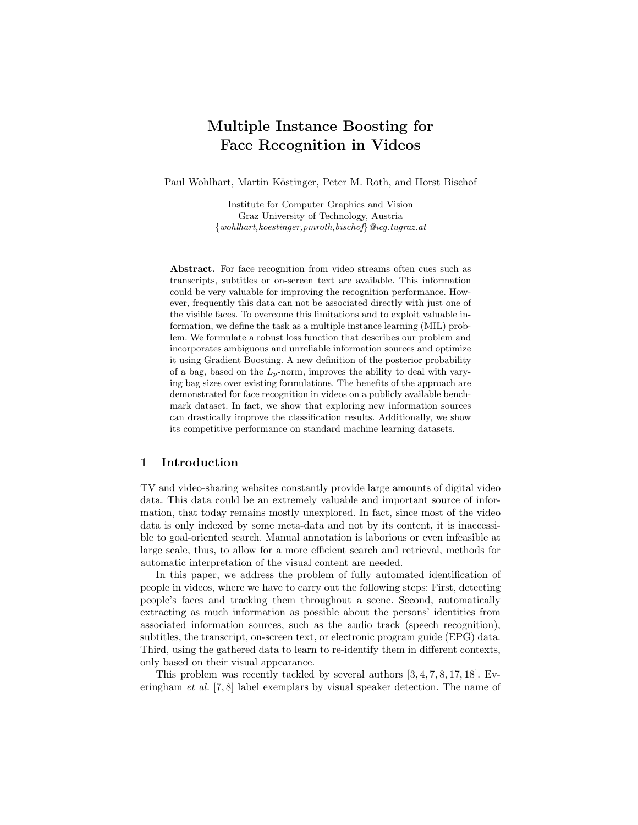# Multiple Instance Boosting for Face Recognition in Videos

Paul Wohlhart, Martin Köstinger, Peter M. Roth, and Horst Bischof

Institute for Computer Graphics and Vision Graz University of Technology, Austria {wohlhart,koestinger,pmroth,bischof}@icg.tugraz.at

Abstract. For face recognition from video streams often cues such as transcripts, subtitles or on-screen text are available. This information could be very valuable for improving the recognition performance. However, frequently this data can not be associated directly with just one of the visible faces. To overcome this limitations and to exploit valuable information, we define the task as a multiple instance learning (MIL) problem. We formulate a robust loss function that describes our problem and incorporates ambiguous and unreliable information sources and optimize it using Gradient Boosting. A new definition of the posterior probability of a bag, based on the  $L_p$ -norm, improves the ability to deal with varying bag sizes over existing formulations. The benefits of the approach are demonstrated for face recognition in videos on a publicly available benchmark dataset. In fact, we show that exploring new information sources can drastically improve the classification results. Additionally, we show its competitive performance on standard machine learning datasets.

# 1 Introduction

TV and video-sharing websites constantly provide large amounts of digital video data. This data could be an extremely valuable and important source of information, that today remains mostly unexplored. In fact, since most of the video data is only indexed by some meta-data and not by its content, it is inaccessible to goal-oriented search. Manual annotation is laborious or even infeasible at large scale, thus, to allow for a more efficient search and retrieval, methods for automatic interpretation of the visual content are needed.

In this paper, we address the problem of fully automated identification of people in videos, where we have to carry out the following steps: First, detecting people's faces and tracking them throughout a scene. Second, automatically extracting as much information as possible about the persons' identities from associated information sources, such as the audio track (speech recognition), subtitles, the transcript, on-screen text, or electronic program guide (EPG) data. Third, using the gathered data to learn to re-identify them in different contexts, only based on their visual appearance.

This problem was recently tackled by several authors [3, 4, 7, 8, 17, 18]. Everingham et al. [7, 8] label exemplars by visual speaker detection. The name of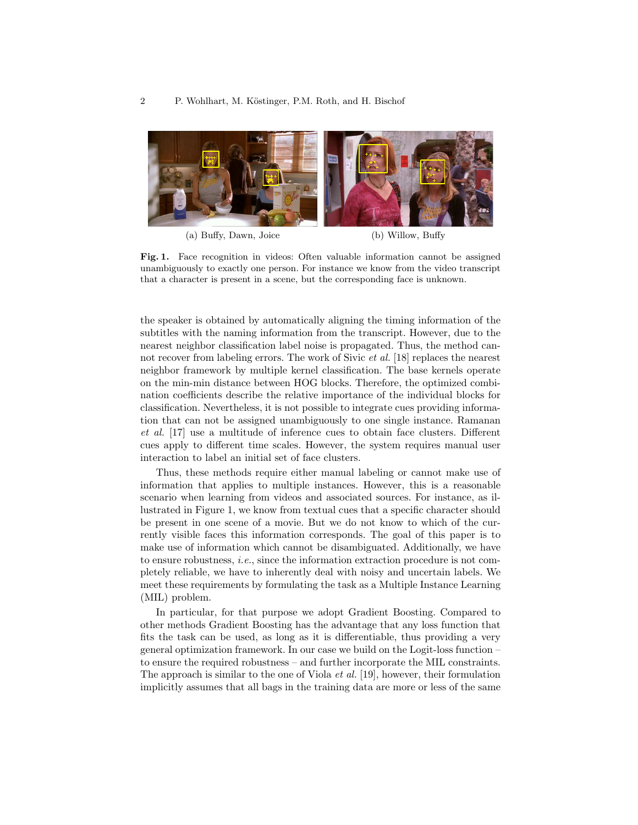

(a) Buffy, Dawn, Joice (b) Willow, Buffy

Fig. 1. Face recognition in videos: Often valuable information cannot be assigned unambiguously to exactly one person. For instance we know from the video transcript that a character is present in a scene, but the corresponding face is unknown.

the speaker is obtained by automatically aligning the timing information of the subtitles with the naming information from the transcript. However, due to the nearest neighbor classification label noise is propagated. Thus, the method cannot recover from labeling errors. The work of Sivic et al. [18] replaces the nearest neighbor framework by multiple kernel classification. The base kernels operate on the min-min distance between HOG blocks. Therefore, the optimized combination coefficients describe the relative importance of the individual blocks for classification. Nevertheless, it is not possible to integrate cues providing information that can not be assigned unambiguously to one single instance. Ramanan et al. [17] use a multitude of inference cues to obtain face clusters. Different cues apply to different time scales. However, the system requires manual user interaction to label an initial set of face clusters.

Thus, these methods require either manual labeling or cannot make use of information that applies to multiple instances. However, this is a reasonable scenario when learning from videos and associated sources. For instance, as illustrated in Figure 1, we know from textual cues that a specific character should be present in one scene of a movie. But we do not know to which of the currently visible faces this information corresponds. The goal of this paper is to make use of information which cannot be disambiguated. Additionally, we have to ensure robustness, i.e., since the information extraction procedure is not completely reliable, we have to inherently deal with noisy and uncertain labels. We meet these requirements by formulating the task as a Multiple Instance Learning (MIL) problem.

In particular, for that purpose we adopt Gradient Boosting. Compared to other methods Gradient Boosting has the advantage that any loss function that fits the task can be used, as long as it is differentiable, thus providing a very general optimization framework. In our case we build on the Logit-loss function – to ensure the required robustness – and further incorporate the MIL constraints. The approach is similar to the one of Viola et al. [19], however, their formulation implicitly assumes that all bags in the training data are more or less of the same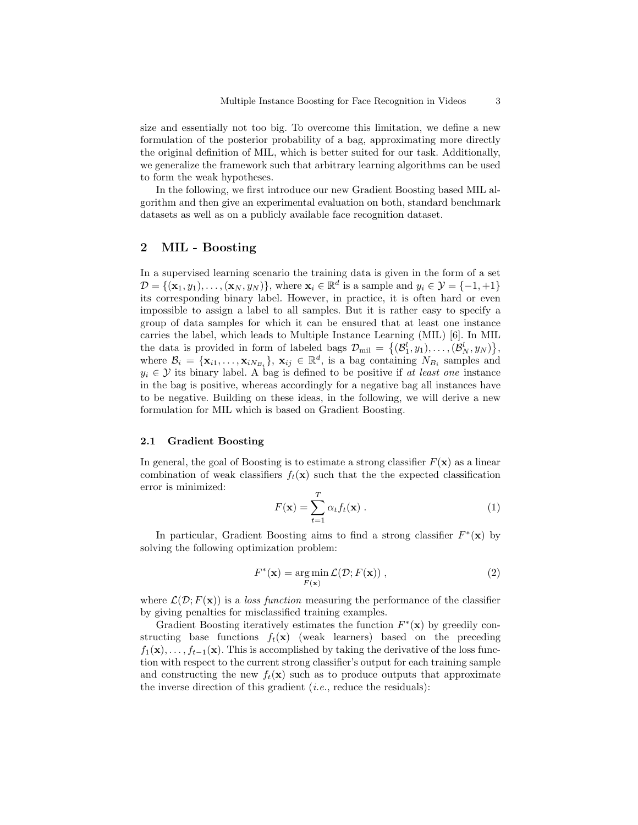size and essentially not too big. To overcome this limitation, we define a new formulation of the posterior probability of a bag, approximating more directly the original definition of MIL, which is better suited for our task. Additionally, we generalize the framework such that arbitrary learning algorithms can be used to form the weak hypotheses.

In the following, we first introduce our new Gradient Boosting based MIL algorithm and then give an experimental evaluation on both, standard benchmark datasets as well as on a publicly available face recognition dataset.

# 2 MIL - Boosting

In a supervised learning scenario the training data is given in the form of a set  $\mathcal{D} = \{(\mathbf{x}_1, y_1), \dots, (\mathbf{x}_N, y_N)\},\$  where  $\mathbf{x}_i \in \mathbb{R}^d$  is a sample and  $y_i \in \mathcal{Y} = \{-1, +1\}$ its corresponding binary label. However, in practice, it is often hard or even impossible to assign a label to all samples. But it is rather easy to specify a group of data samples for which it can be ensured that at least one instance carries the label, which leads to Multiple Instance Learning (MIL) [6]. In MIL the data is provided in form of labeled bags  $\mathcal{D}_{\text{mil}} = \{(\mathcal{B}_1^l, y_1), \dots, (\mathcal{B}_N^l, y_N)\},\$ where  $\mathcal{B}_i = {\mathbf{x}_{i1}, \dots, \mathbf{x}_{iN_{B_i}}}$ ,  $\mathbf{x}_{ij} \in \mathbb{R}^d$ , is a bag containing  $N_{B_i}$  samples and  $y_i \in \mathcal{Y}$  its binary label. A bag is defined to be positive if at least one instance in the bag is positive, whereas accordingly for a negative bag all instances have to be negative. Building on these ideas, in the following, we will derive a new formulation for MIL which is based on Gradient Boosting.

#### 2.1 Gradient Boosting

In general, the goal of Boosting is to estimate a strong classifier  $F(\mathbf{x})$  as a linear combination of weak classifiers  $f_t(\mathbf{x})$  such that the the expected classification error is minimized:

$$
F(\mathbf{x}) = \sum_{t=1}^{T} \alpha_t f_t(\mathbf{x}).
$$
\n(1)

In particular, Gradient Boosting aims to find a strong classifier  $F^*(\mathbf{x})$  by solving the following optimization problem:

$$
F^*(\mathbf{x}) = \underset{F(\mathbf{x})}{\arg \min} \mathcal{L}(\mathcal{D}; F(\mathbf{x})), \qquad (2)
$$

where  $\mathcal{L}(\mathcal{D}; F(\mathbf{x}))$  is a loss function measuring the performance of the classifier by giving penalties for misclassified training examples.

Gradient Boosting iteratively estimates the function  $F^*(\mathbf{x})$  by greedily constructing base functions  $f_t(\mathbf{x})$  (weak learners) based on the preceding  $f_1(\mathbf{x}), \ldots, f_{t-1}(\mathbf{x})$ . This is accomplished by taking the derivative of the loss function with respect to the current strong classifier's output for each training sample and constructing the new  $f_t(\mathbf{x})$  such as to produce outputs that approximate the inverse direction of this gradient  $(i.e.,$  reduce the residuals):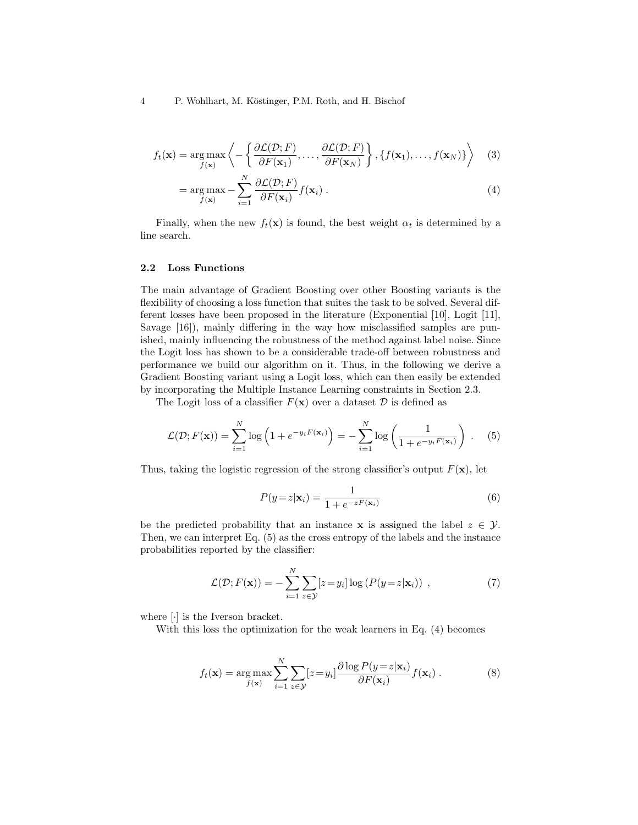4 P. Wohlhart, M. Köstinger, P.M. Roth, and H. Bischof

$$
f_t(\mathbf{x}) = \arg \max_{f(\mathbf{x})} \left\langle -\left\{ \frac{\partial \mathcal{L}(\mathcal{D}; F)}{\partial F(\mathbf{x}_1)}, \dots, \frac{\partial \mathcal{L}(\mathcal{D}; F)}{\partial F(\mathbf{x}_N)} \right\}, \{f(\mathbf{x}_1), \dots, f(\mathbf{x}_N)\} \right\rangle \tag{3}
$$

$$
= \arg \max_{f(\mathbf{x})} -\sum_{i=1}^{\infty} \frac{\partial \mathcal{L}(\nu; F)}{\partial F(\mathbf{x}_i)} f(\mathbf{x}_i).
$$
\n(4)

Finally, when the new  $f_t(\mathbf{x})$  is found, the best weight  $\alpha_t$  is determined by a line search.

#### 2.2 Loss Functions

The main advantage of Gradient Boosting over other Boosting variants is the flexibility of choosing a loss function that suites the task to be solved. Several different losses have been proposed in the literature (Exponential [10], Logit [11], Savage [16]), mainly differing in the way how misclassified samples are punished, mainly influencing the robustness of the method against label noise. Since the Logit loss has shown to be a considerable trade-off between robustness and performance we build our algorithm on it. Thus, in the following we derive a Gradient Boosting variant using a Logit loss, which can then easily be extended by incorporating the Multiple Instance Learning constraints in Section 2.3.

The Logit loss of a classifier  $F(\mathbf{x})$  over a dataset  $\mathcal D$  is defined as

$$
\mathcal{L}(\mathcal{D}; F(\mathbf{x})) = \sum_{i=1}^{N} \log \left( 1 + e^{-y_i F(\mathbf{x}_i)} \right) = -\sum_{i=1}^{N} \log \left( \frac{1}{1 + e^{-y_i F(\mathbf{x}_i)}} \right) . \tag{5}
$$

Thus, taking the logistic regression of the strong classifier's output  $F(\mathbf{x})$ , let

$$
P(y=z|\mathbf{x}_i) = \frac{1}{1 + e^{-zF(\mathbf{x}_i)}}
$$
(6)

be the predicted probability that an instance **x** is assigned the label  $z \in \mathcal{Y}$ . Then, we can interpret Eq. (5) as the cross entropy of the labels and the instance probabilities reported by the classifier:

$$
\mathcal{L}(\mathcal{D}; F(\mathbf{x})) = -\sum_{i=1}^{N} \sum_{z \in \mathcal{Y}} [z = y_i] \log (P(y = z | \mathbf{x}_i)) , \qquad (7)
$$

where [·] is the Iverson bracket.

With this loss the optimization for the weak learners in Eq. (4) becomes

$$
f_t(\mathbf{x}) = \underset{f(\mathbf{x})}{\arg \max} \sum_{i=1}^N \sum_{z \in \mathcal{Y}} [z = y_i] \frac{\partial \log P(y = z | \mathbf{x}_i)}{\partial F(\mathbf{x}_i)} f(\mathbf{x}_i).
$$
 (8)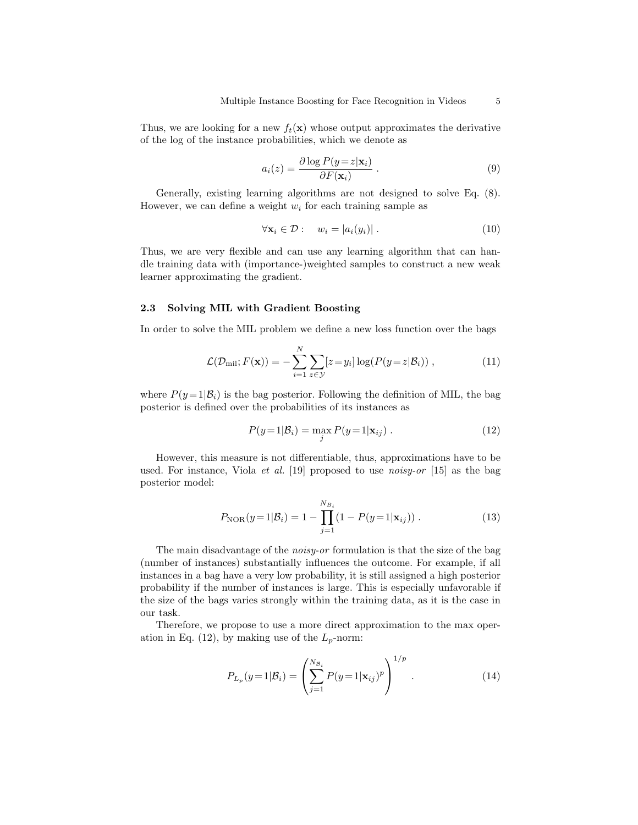Thus, we are looking for a new  $f_t(\mathbf{x})$  whose output approximates the derivative of the log of the instance probabilities, which we denote as

$$
a_i(z) = \frac{\partial \log P(y = z | \mathbf{x}_i)}{\partial F(\mathbf{x}_i)}.
$$
\n(9)

Generally, existing learning algorithms are not designed to solve Eq. (8). However, we can define a weight  $w_i$  for each training sample as

$$
\forall \mathbf{x}_i \in \mathcal{D} : \quad w_i = |a_i(y_i)| \,. \tag{10}
$$

Thus, we are very flexible and can use any learning algorithm that can handle training data with (importance-)weighted samples to construct a new weak learner approximating the gradient.

### 2.3 Solving MIL with Gradient Boosting

In order to solve the MIL problem we define a new loss function over the bags

$$
\mathcal{L}(\mathcal{D}_{\text{mil}}; F(\mathbf{x})) = -\sum_{i=1}^{N} \sum_{z \in \mathcal{Y}} [z = y_i] \log(P(y = z | \mathcal{B}_i)), \qquad (11)
$$

where  $P(y=1|\mathcal{B}_i)$  is the bag posterior. Following the definition of MIL, the bag posterior is defined over the probabilities of its instances as

$$
P(y=1|\mathcal{B}_i) = \max_j P(y=1|\mathbf{x}_{ij}) . \tag{12}
$$

However, this measure is not differentiable, thus, approximations have to be used. For instance, Viola *et al.* [19] proposed to use *noisy-or* [15] as the bag posterior model:

$$
P_{\text{NOR}}(y=1|\mathcal{B}_i) = 1 - \prod_{j=1}^{N_{B_i}} (1 - P(y=1|\mathbf{x}_{ij}))
$$
 (13)

The main disadvantage of the *noisy-or* formulation is that the size of the bag (number of instances) substantially influences the outcome. For example, if all instances in a bag have a very low probability, it is still assigned a high posterior probability if the number of instances is large. This is especially unfavorable if the size of the bags varies strongly within the training data, as it is the case in our task.

Therefore, we propose to use a more direct approximation to the max operation in Eq. (12), by making use of the  $L_p$ -norm:

$$
P_{L_p}(y=1|\mathcal{B}_i) = \left(\sum_{j=1}^{N_{\mathcal{B}_i}} P(y=1|\mathbf{x}_{ij})^p\right)^{1/p}.
$$
 (14)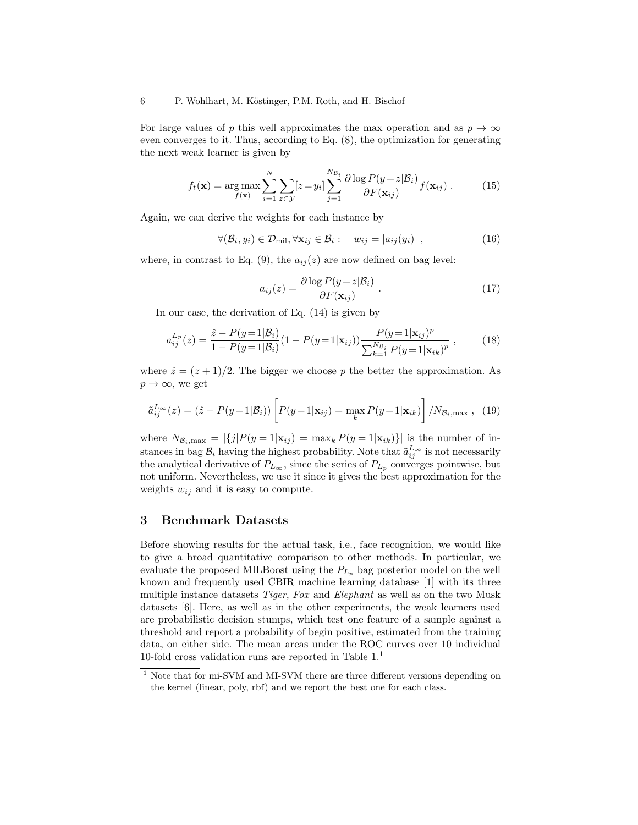For large values of p this well approximates the max operation and as  $p \to \infty$ even converges to it. Thus, according to Eq. (8), the optimization for generating the next weak learner is given by

$$
f_t(\mathbf{x}) = \arg \max_{f(\mathbf{x})} \sum_{i=1}^N \sum_{z \in \mathcal{Y}} [z = y_i] \sum_{j=1}^{N_{\mathcal{B}_i}} \frac{\partial \log P(y = z | \mathcal{B}_i)}{\partial F(\mathbf{x}_{ij})} f(\mathbf{x}_{ij}). \tag{15}
$$

Again, we can derive the weights for each instance by

$$
\forall (\mathcal{B}_i, y_i) \in \mathcal{D}_{\text{mil}}, \forall \mathbf{x}_{ij} \in \mathcal{B}_i: \quad w_{ij} = |a_{ij}(y_i)| \,, \tag{16}
$$

where, in contrast to Eq. (9), the  $a_{ij}(z)$  are now defined on bag level:

$$
a_{ij}(z) = \frac{\partial \log P(y=z|\mathcal{B}_i)}{\partial F(\mathbf{x}_{ij})} \,. \tag{17}
$$

In our case, the derivation of Eq. (14) is given by

$$
a_{ij}^{L_p}(z) = \frac{\hat{z} - P(y=1|\mathcal{B}_i)}{1 - P(y=1|\mathcal{B}_i)} (1 - P(y=1|\mathbf{x}_{ij})) \frac{P(y=1|\mathbf{x}_{ij})^p}{\sum_{k=1}^{N_{\mathcal{B}_i}} P(y=1|\mathbf{x}_{ik})^p},
$$
(18)

where  $\hat{z} = (z+1)/2$ . The bigger we choose p the better the approximation. As  $p \to \infty$ , we get

$$
\tilde{a}_{ij}^{L_{\infty}}(z) = (\hat{z} - P(y=1|\mathcal{B}_i)) \left[ P(y=1|\mathbf{x}_{ij}) = \max_{k} P(y=1|\mathbf{x}_{ik}) \right] / N_{\mathcal{B}_i, \max} , \quad (19)
$$

where  $N_{\mathcal{B}_i, \text{max}} = |\{j|P(y=1|\mathbf{x}_{ij}) = \max_k P(y=1|\mathbf{x}_{ik})\}|$  is the number of instances in bag  $\mathcal{B}_i$  having the highest probability. Note that  $\tilde{a}_{ij}^{L_{\infty}}$  is not necessarily the analytical derivative of  $P_{L_{\infty}}$ , since the series of  $P_{L_p}$  converges pointwise, but not uniform. Nevertheless, we use it since it gives the best approximation for the weights  $w_{ij}$  and it is easy to compute.

## 3 Benchmark Datasets

Before showing results for the actual task, i.e., face recognition, we would like to give a broad quantitative comparison to other methods. In particular, we evaluate the proposed MILBoost using the  $P_{L_p}$  bag posterior model on the well known and frequently used CBIR machine learning database [1] with its three multiple instance datasets Tiger, Fox and Elephant as well as on the two Musk datasets [6]. Here, as well as in the other experiments, the weak learners used are probabilistic decision stumps, which test one feature of a sample against a threshold and report a probability of begin positive, estimated from the training data, on either side. The mean areas under the ROC curves over 10 individual 10-fold cross validation runs are reported in Table 1.<sup>1</sup>

 $\frac{1}{1}$  Note that for mi-SVM and MI-SVM there are three different versions depending on the kernel (linear, poly, rbf) and we report the best one for each class.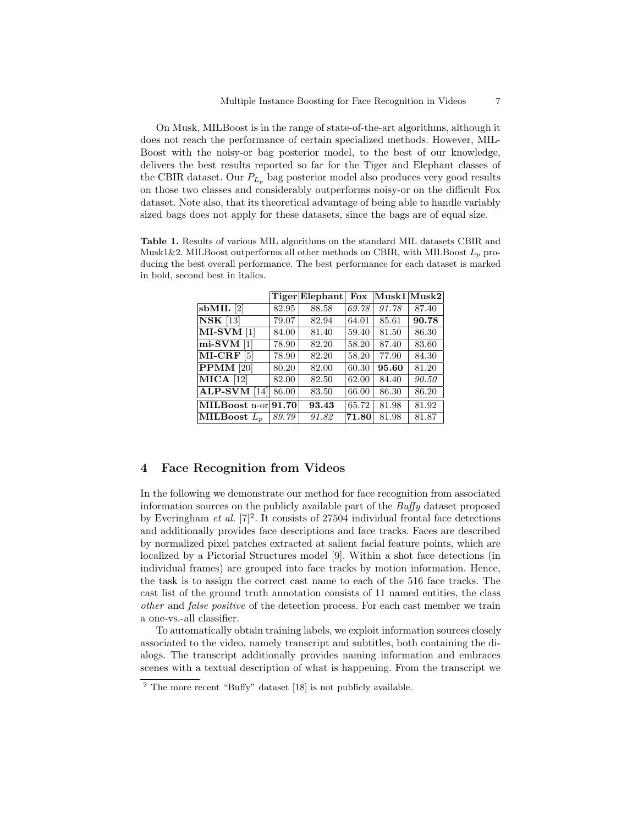On Musk, MILBoost is in the range of state-of-the-art algorithms, although it does not reach the performance of certain specialized methods. However, MIL-Boost with the noisy-or bag posterior model, to the best of our knowledge, delivers the best results reported so far for the Tiger and Elephant classes of the CBIR dataset. Our  $P_{L_n}$  bag posterior model also produces very good results on those two classes and considerably outperforms noisy-or on the difficult Fox dataset. Note also, that its theoretical advantage of being able to handle variably sized bags does not apply for these datasets, since the bags are of equal size.

Table 1. Results of various MIL algorithms on the standard MIL datasets CBIR and Musk1&2. MILBoost outperforms all other methods on CBIR, with MILBoost  $L_p$  producing the best overall performance. The best performance for each dataset is marked in bold, second best in italics.

|                                 |       | Tiger Elephant | Fox   | Musk1 Musk2 |       |
|---------------------------------|-------|----------------|-------|-------------|-------|
| $sbMIL$ [2]                     | 82.95 | 88.58          | 69.78 | 91.78       | 87.40 |
| $NSK$ [13]                      | 79.07 | 82.94          | 64.01 | 85.61       | 90.78 |
| <b>MI-SVM</b> [1]               | 84.00 | 81.40          | 59.40 | 81.50       | 86.30 |
| $mi-SVM$ [1]                    | 78.90 | 82.20          | 58.20 | 87.40       | 83.60 |
| $MLCRF$ [5]                     | 78.90 | 82.20          | 58.20 | 77.90       | 84.30 |
| $\overline{\text{PPMM}$ [20]    | 80.20 | 82.00          | 60.30 | 95.60       | 81.20 |
| $\overline{\textbf{MICA}}$ [12] | 82.00 | 82.50          | 62.00 | 84.40       | 90.50 |
| $ALP-SVM$ [14]                  | 86.00 | 83.50          | 66.00 | 86.30       | 86.20 |
| MILBoost n-or 91.70             |       | 93.43          | 65.72 | 81.98       | 81.92 |
| MILBoost $L_p$                  | 89.79 | 91.82          | 71.80 | 81.98       | 81.87 |

## 4 Face Recognition from Videos

In the following we demonstrate our method for face recognition from associated information sources on the publicly available part of the Buffy dataset proposed by Everingham et al.  $[7]^2$ . It consists of 27504 individual frontal face detections and additionally provides face descriptions and face tracks. Faces are described by normalized pixel patches extracted at salient facial feature points, which are localized by a Pictorial Structures model [9]. Within a shot face detections (in individual frames) are grouped into face tracks by motion information. Hence, the task is to assign the correct cast name to each of the 516 face tracks. The cast list of the ground truth annotation consists of 11 named entities, the class other and false positive of the detection process. For each cast member we train a one-vs.-all classifier.

To automatically obtain training labels, we exploit information sources closely associated to the video, namely transcript and subtitles, both containing the dialogs. The transcript additionally provides naming information and embraces scenes with a textual description of what is happening. From the transcript we

<sup>2</sup> The more recent "Buffy" dataset [18] is not publicly available.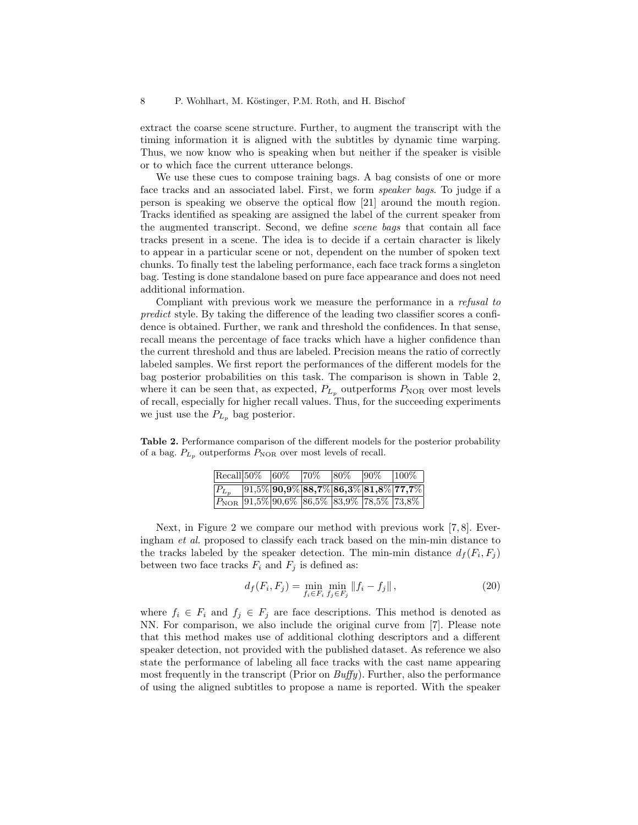extract the coarse scene structure. Further, to augment the transcript with the timing information it is aligned with the subtitles by dynamic time warping. Thus, we now know who is speaking when but neither if the speaker is visible or to which face the current utterance belongs.

We use these cues to compose training bags. A bag consists of one or more face tracks and an associated label. First, we form speaker bags. To judge if a person is speaking we observe the optical flow [21] around the mouth region. Tracks identified as speaking are assigned the label of the current speaker from the augmented transcript. Second, we define scene bags that contain all face tracks present in a scene. The idea is to decide if a certain character is likely to appear in a particular scene or not, dependent on the number of spoken text chunks. To finally test the labeling performance, each face track forms a singleton bag. Testing is done standalone based on pure face appearance and does not need additional information.

Compliant with previous work we measure the performance in a refusal to predict style. By taking the difference of the leading two classifier scores a confidence is obtained. Further, we rank and threshold the confidences. In that sense, recall means the percentage of face tracks which have a higher confidence than the current threshold and thus are labeled. Precision means the ratio of correctly labeled samples. We first report the performances of the different models for the bag posterior probabilities on this task. The comparison is shown in Table 2, where it can be seen that, as expected,  $P_{L_p}$  outperforms  $P_{NOR}$  over most levels of recall, especially for higher recall values. Thus, for the succeeding experiments we just use the  $P_{L_p}$  bag posterior.

Table 2. Performance comparison of the different models for the posterior probability of a bag.  $P_{L_p}$  outperforms  $P_{NOR}$  over most levels of recall.

| $Recall 50\%$ 60% |  | 70% | $ 80\% $ | $ 90\%$ | $100\%$                                                                                          |
|-------------------|--|-----|----------|---------|--------------------------------------------------------------------------------------------------|
| $P_{L_n}$         |  |     |          |         | $ 91,5\% 90,9\% 88,7\% 86,3\% 81,8\% 77,7\% $                                                    |
|                   |  |     |          |         | $\boxed{P_{\rm{NOR}}\ket{91,5\%}\!\ket{90,6\%}\ket{86,5\%}\ket{83,9\%}\ket{78,5\%}\ket{73,8\%}}$ |

Next, in Figure 2 we compare our method with previous work [7, 8]. Everingham et al. proposed to classify each track based on the min-min distance to the tracks labeled by the speaker detection. The min-min distance  $d_f(F_i, F_j)$ between two face tracks  $F_i$  and  $F_j$  is defined as:

$$
d_f(F_i, F_j) = \min_{f_i \in F_i} \min_{f_j \in F_j} \|f_i - f_j\|,
$$
\n(20)

where  $f_i \in F_i$  and  $f_j \in F_j$  are face descriptions. This method is denoted as NN. For comparison, we also include the original curve from [7]. Please note that this method makes use of additional clothing descriptors and a different speaker detection, not provided with the published dataset. As reference we also state the performance of labeling all face tracks with the cast name appearing most frequently in the transcript (Prior on  $Buffy$ ). Further, also the performance of using the aligned subtitles to propose a name is reported. With the speaker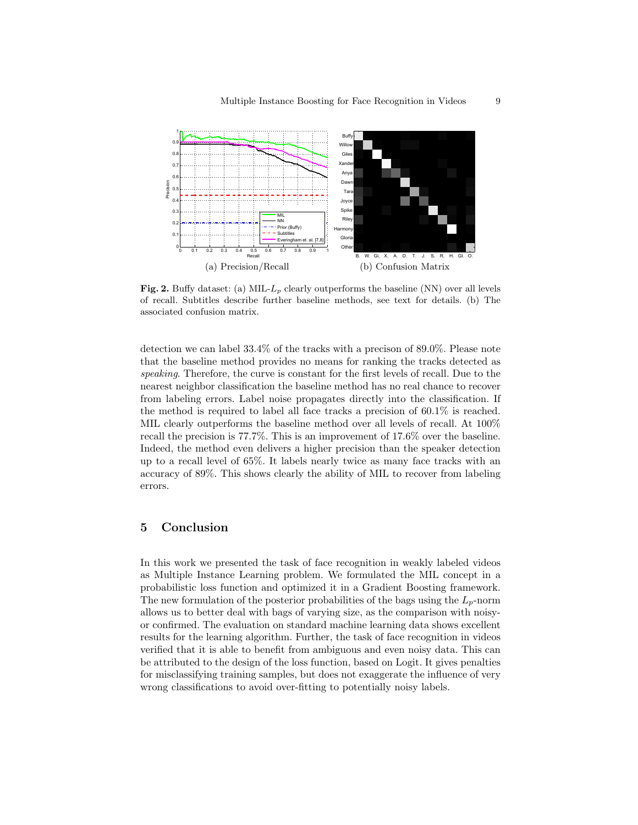

Fig. 2. Buffy dataset: (a) MIL- $L_p$  clearly outperforms the baseline (NN) over all levels of recall. Subtitles describe further baseline methods, see text for details. (b) The associated confusion matrix.

detection we can label 33.4% of the tracks with a precison of 89.0%. Please note that the baseline method provides no means for ranking the tracks detected as speaking. Therefore, the curve is constant for the first levels of recall. Due to the nearest neighbor classification the baseline method has no real chance to recover from labeling errors. Label noise propagates directly into the classification. If the method is required to label all face tracks a precision of 60.1% is reached. MIL clearly outperforms the baseline method over all levels of recall. At 100% recall the precision is 77.7%. This is an improvement of 17.6% over the baseline. Indeed, the method even delivers a higher precision than the speaker detection up to a recall level of 65%. It labels nearly twice as many face tracks with an accuracy of 89%. This shows clearly the ability of MIL to recover from labeling errors.

## 5 Conclusion

In this work we presented the task of face recognition in weakly labeled videos as Multiple Instance Learning problem. We formulated the MIL concept in a probabilistic loss function and optimized it in a Gradient Boosting framework. The new formulation of the posterior probabilities of the bags using the  $L_p$ -norm allows us to better deal with bags of varying size, as the comparison with noisyor confirmed. The evaluation on standard machine learning data shows excellent results for the learning algorithm. Further, the task of face recognition in videos verified that it is able to benefit from ambiguous and even noisy data. This can be attributed to the design of the loss function, based on Logit. It gives penalties for misclassifying training samples, but does not exaggerate the influence of very wrong classifications to avoid over-fitting to potentially noisy labels.